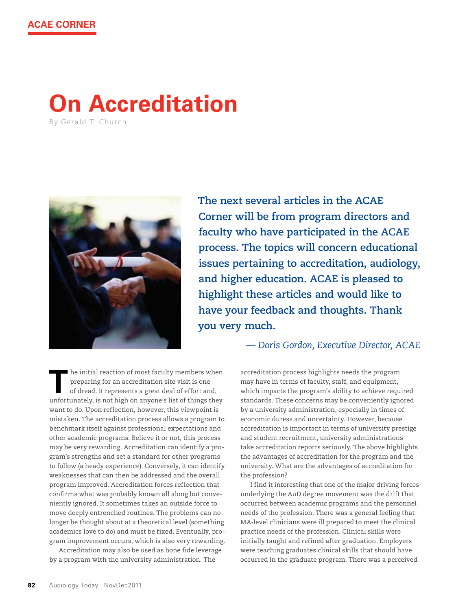## **On Accreditation**

By gerald T. church



**The next several articles in the ACAE Corner will be from program directors and faculty who have participated in the ACAE process. The topics will concern educational issues pertaining to accreditation, audiology, and higher education. ACAE is pleased to highlight these articles and would like to have your feedback and thoughts. Thank you very much.**

*— Doris Gordon, Executive Director, ACAE*

**T** he initial reaction of most faculty members when preparing for an accreditation site visit is one of dread. It represents a great deal of effort and, unfortunately, is not high on anyone's list of things they want to do. Upon reflection, however, this viewpoint is mistaken. The accreditation process allows a program to benchmark itself against professional expectations and other academic programs. Believe it or not, this process may be very rewarding. Accreditation can identify a program's strengths and set a standard for other programs to follow (a heady experience). Conversely, it can identify weaknesses that can then be addressed and the overall program improved. Accreditation forces reflection that confirms what was probably known all along but conveniently ignored. It sometimes takes an outside force to move deeply entrenched routines. The problems can no longer be thought about at a theoretical level (something academics love to do) and must be fixed. Eventually, program improvement occurs, which is also very rewarding.

Accreditation may also be used as bone fide leverage by a program with the university administration. The

accreditation process highlights needs the program may have in terms of faculty, staff, and equipment, which impacts the program's ability to achieve required standards. These concerns may be conveniently ignored by a university administration, especially in times of economic duress and uncertainty. However, because accreditation is important in terms of university prestige and student recruitment, university administrations take accreditation reports seriously. The above highlights the advantages of accreditation for the program and the university. What are the advantages of accreditation for the profession?

I find it interesting that one of the major driving forces underlying the AuD degree movement was the drift that occurred between academic programs and the personnel needs of the profession. There was a general feeling that MA-level clinicians were ill prepared to meet the clinical practice needs of the profession. Clinical skills were initially taught and refined after graduation. Employers were teaching graduates clinical skills that should have occurred in the graduate program. There was a perceived